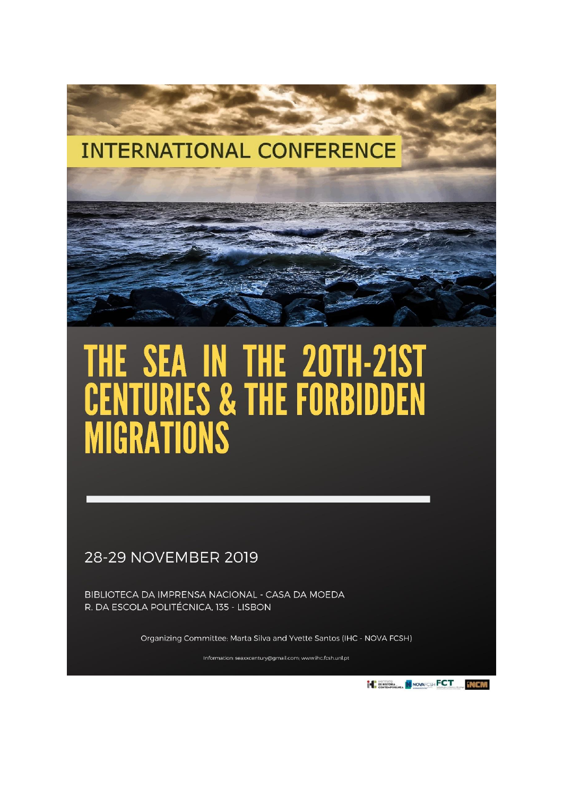# **INTERNATIONAL CONFERENCE**

# THE SEA IN THE 20TH-21ST<br>CENTURIES & THE FORBIDDEN **MIGRATIONS**

28-29 NOVEMBER 2019

BIBLIOTECA DA IMPRENSA NACIONAL - CASA DA MOEDA R. DA ESCOLA POLITÉCNICA, 135 - LISBON

Organizing Committee: Marta Silva and Yvette Santos (IHC - NOVA FCSH)

Information: seaxxcentury@gmail.com; www.ihc.fcsh.unl.pt

**THE BEHINDRA IN NOVAFOSH FOT MEMBERS**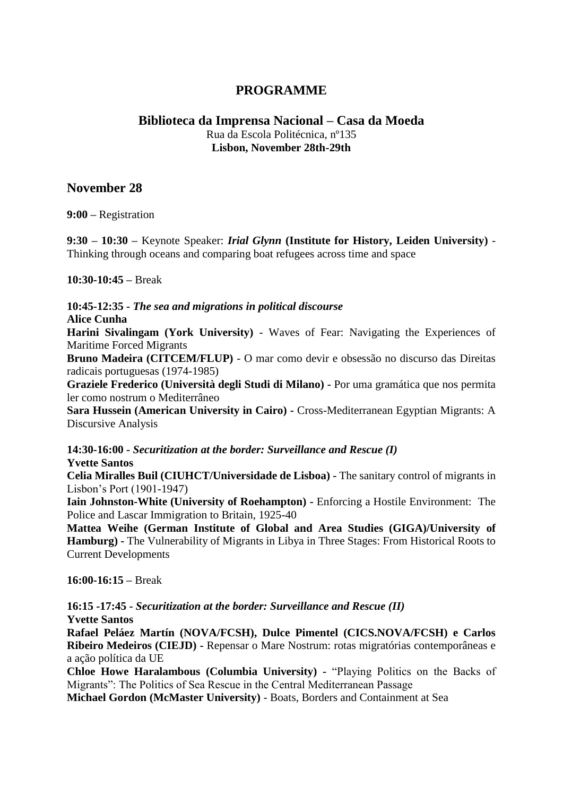# **PROGRAMME**

# **Biblioteca da Imprensa Nacional – Casa da Moeda** Rua da Escola Politécnica, nº135 **Lisbon, November 28th-29th**

# **November 28**

**9:00 –** Registration

**9:30 – 10:30 –** Keynote Speaker: *Irial Glynn* **(Institute for History, Leiden University)** - Thinking through oceans and comparing boat refugees across time and space

**10:30-10:45 –** Break

**10:45-12:35 -** *The sea and migrations in political discourse*

**Alice Cunha**

**Harini Sivalingam (York University)** - Waves of Fear: Navigating the Experiences of Maritime Forced Migrants

**Bruno Madeira (CITCEM/FLUP)** - O mar como devir e obsessão no discurso das Direitas radicais portuguesas (1974-1985)

**Graziele Frederico (Università degli Studi di Milano) -** Por uma gramática que nos permita ler como nostrum o Mediterrâneo

**Sara Hussein (American University in Cairo) -** Cross-Mediterranean Egyptian Migrants: A Discursive Analysis

**14:30-16:00 -** *Securitization at the border: Surveillance and Rescue (I)* **Yvette Santos**

**Celia Miralles Buil (CIUHCT/Universidade de Lisboa) -** The sanitary control of migrants in Lisbon's Port (1901-1947)

**Iain Johnston-White (University of Roehampton) -** Enforcing a Hostile Environment: The Police and Lascar Immigration to Britain, 1925-40

**Mattea Weihe (German Institute of Global and Area Studies (GIGA)/University of Hamburg) -** The Vulnerability of Migrants in Libya in Three Stages: From Historical Roots to Current Developments

**16:00-16:15 –** Break

**16:15 -17:45 -** *Securitization at the border: Surveillance and Rescue (II)* **Yvette Santos**

**Rafael Peláez Martín (NOVA/FCSH), Dulce Pimentel (CICS.NOVA/FCSH) e Carlos Ribeiro Medeiros (CIEJD) -** Repensar o Mare Nostrum: rotas migratórias contemporâneas e a ação política da UE

**Chloe Howe Haralambous (Columbia University) -** "Playing Politics on the Backs of Migrants": The Politics of Sea Rescue in the Central Mediterranean Passage

**Michael Gordon (McMaster University)** - Boats, Borders and Containment at Sea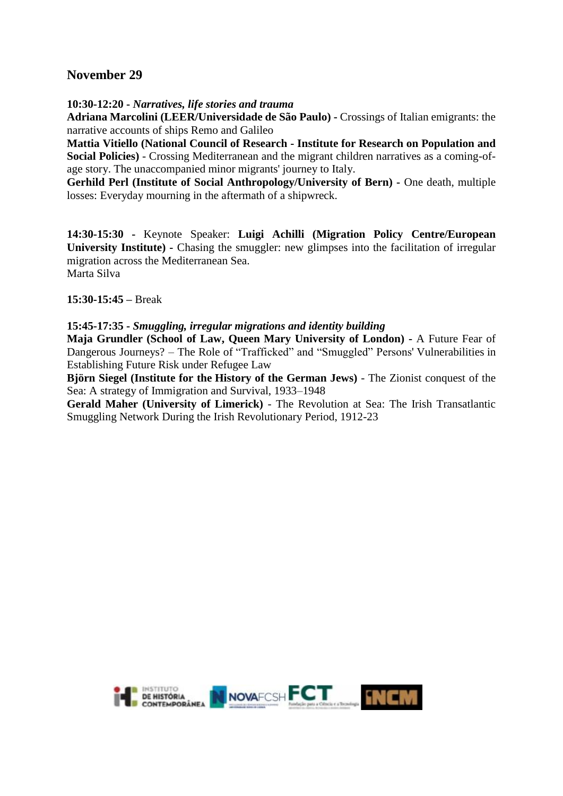# **November 29**

**10:30-12:20 -** *Narratives, life stories and trauma*

**Adriana Marcolini (LEER/Universidade de São Paulo) -** Crossings of Italian emigrants: the narrative accounts of ships Remo and Galileo

**Mattia Vitiello (National Council of Research - Institute for Research on Population and Social Policies)** - Crossing Mediterranean and the migrant children narratives as a coming-ofage story. The unaccompanied minor migrants' journey to Italy.

**Gerhild Perl (Institute of Social Anthropology/University of Bern) -** One death, multiple losses: Everyday mourning in the aftermath of a shipwreck.

**14:30-15:30 -** Keynote Speaker: **Luigi Achilli (Migration Policy Centre/European University Institute) -** Chasing the smuggler: new glimpses into the facilitation of irregular migration across the Mediterranean Sea. Marta Silva

**15:30-15:45 –** Break

**15:45-17:35 -** *Smuggling, irregular migrations and identity building*

**Maja Grundler (School of Law, Queen Mary University of London) -** A Future Fear of Dangerous Journeys? – The Role of "Trafficked" and "Smuggled" Persons' Vulnerabilities in Establishing Future Risk under Refugee Law

**Björn Siegel (Institute for the History of the German Jews)** - The Zionist conquest of the Sea: A strategy of Immigration and Survival, 1933–1948

**Gerald Maher (University of Limerick)** - The Revolution at Sea: The Irish Transatlantic Smuggling Network During the Irish Revolutionary Period, 1912-23

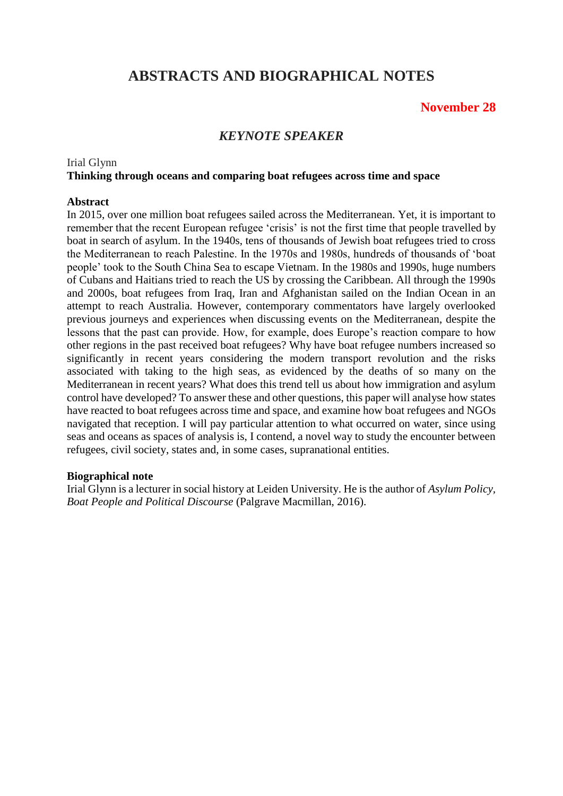# **ABSTRACTS AND BIOGRAPHICAL NOTES**

# **November 28**

# *KEYNOTE SPEAKER*

#### Irial Glynn **Thinking through oceans and comparing boat refugees across time and space**

#### **Abstract**

In 2015, over one million boat refugees sailed across the Mediterranean. Yet, it is important to remember that the recent European refugee 'crisis' is not the first time that people travelled by boat in search of asylum. In the 1940s, tens of thousands of Jewish boat refugees tried to cross the Mediterranean to reach Palestine. In the 1970s and 1980s, hundreds of thousands of 'boat people' took to the South China Sea to escape Vietnam. In the 1980s and 1990s, huge numbers of Cubans and Haitians tried to reach the US by crossing the Caribbean. All through the 1990s and 2000s, boat refugees from Iraq, Iran and Afghanistan sailed on the Indian Ocean in an attempt to reach Australia. However, contemporary commentators have largely overlooked previous journeys and experiences when discussing events on the Mediterranean, despite the lessons that the past can provide. How, for example, does Europe's reaction compare to how other regions in the past received boat refugees? Why have boat refugee numbers increased so significantly in recent years considering the modern transport revolution and the risks associated with taking to the high seas, as evidenced by the deaths of so many on the Mediterranean in recent years? What does this trend tell us about how immigration and asylum control have developed? To answer these and other questions, this paper will analyse how states have reacted to boat refugees across time and space, and examine how boat refugees and NGOs navigated that reception. I will pay particular attention to what occurred on water, since using seas and oceans as spaces of analysis is, I contend, a novel way to study the encounter between refugees, civil society, states and, in some cases, supranational entities.

#### **Biographical note**

Irial Glynn is a lecturer in social history at Leiden University. He is the author of *Asylum Policy, Boat People and Political Discourse* (Palgrave Macmillan, 2016).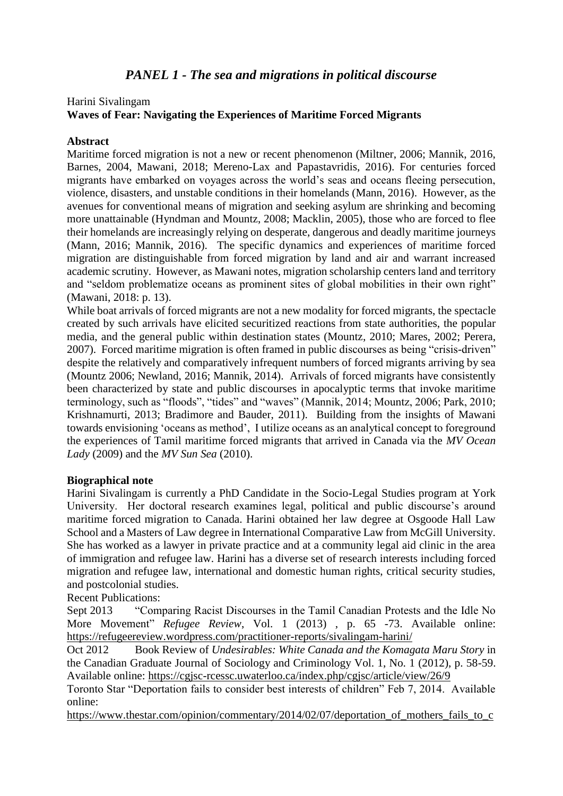# Harini Sivalingam **Waves of Fear: Navigating the Experiences of Maritime Forced Migrants**

#### **Abstract**

Maritime forced migration is not a new or recent phenomenon (Miltner, 2006; Mannik, 2016, Barnes, 2004, Mawani, 2018; Mereno-Lax and Papastavridis, 2016). For centuries forced migrants have embarked on voyages across the world's seas and oceans fleeing persecution, violence, disasters, and unstable conditions in their homelands (Mann, 2016). However, as the avenues for conventional means of migration and seeking asylum are shrinking and becoming more unattainable (Hyndman and Mountz, 2008; Macklin, 2005), those who are forced to flee their homelands are increasingly relying on desperate, dangerous and deadly maritime journeys (Mann, 2016; Mannik, 2016). The specific dynamics and experiences of maritime forced migration are distinguishable from forced migration by land and air and warrant increased academic scrutiny. However, as Mawani notes, migration scholarship centers land and territory and "seldom problematize oceans as prominent sites of global mobilities in their own right" (Mawani, 2018: p. 13).

While boat arrivals of forced migrants are not a new modality for forced migrants, the spectacle created by such arrivals have elicited securitized reactions from state authorities, the popular media, and the general public within destination states (Mountz, 2010; Mares, 2002; Perera, 2007). Forced maritime migration is often framed in public discourses as being "crisis-driven" despite the relatively and comparatively infrequent numbers of forced migrants arriving by sea (Mountz 2006; Newland, 2016; Mannik, 2014). Arrivals of forced migrants have consistently been characterized by state and public discourses in apocalyptic terms that invoke maritime terminology, such as "floods", "tides" and "waves" (Mannik, 2014; Mountz, 2006; Park, 2010; Krishnamurti, 2013; Bradimore and Bauder, 2011). Building from the insights of Mawani towards envisioning 'oceans as method', I utilize oceans as an analytical concept to foreground the experiences of Tamil maritime forced migrants that arrived in Canada via the *MV Ocean Lady* (2009) and the *MV Sun Sea* (2010).

#### **Biographical note**

Harini Sivalingam is currently a PhD Candidate in the Socio-Legal Studies program at York University. Her doctoral research examines legal, political and public discourse's around maritime forced migration to Canada. Harini obtained her law degree at Osgoode Hall Law School and a Masters of Law degree in International Comparative Law from McGill University. She has worked as a lawyer in private practice and at a community legal aid clinic in the area of immigration and refugee law. Harini has a diverse set of research interests including forced migration and refugee law, international and domestic human rights, critical security studies, and postcolonial studies.

Recent Publications:

Sept 2013 "Comparing Racist Discourses in the Tamil Canadian Protests and the Idle No More Movement" *Refugee Review*, Vol. 1 (2013) , p. 65 -73. Available online: <https://refugeereview.wordpress.com/practitioner-reports/sivalingam-harini/>

Oct 2012 Book Review of *Undesirables: White Canada and the Komagata Maru Story* in the Canadian Graduate Journal of Sociology and Criminology Vol. 1, No. 1 (2012), p. 58-59. Available online:<https://cgjsc-rcessc.uwaterloo.ca/index.php/cgjsc/article/view/26/9>

Toronto Star "Deportation fails to consider best interests of children" Feb 7, 2014. Available online:

https://www.thestar.com/opinion/commentary/2014/02/07/deportation of mothers fails to c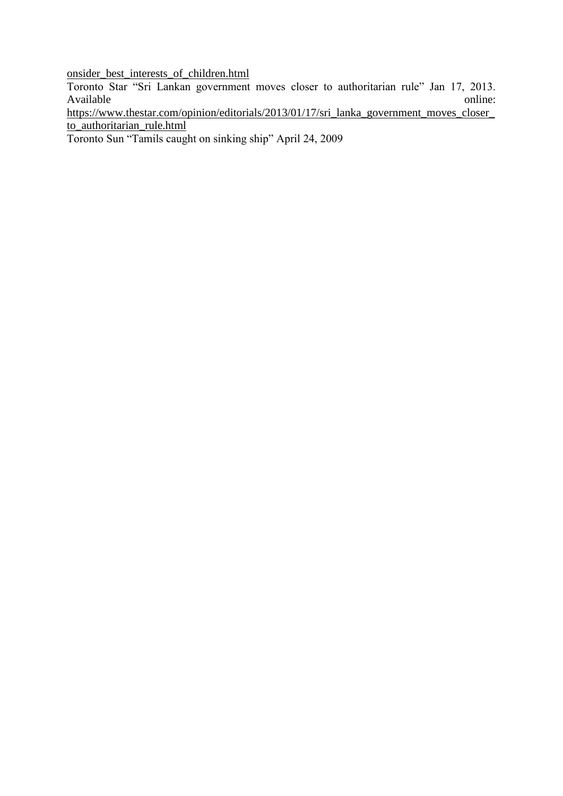[onsider\\_best\\_interests\\_of\\_children.html](https://www.thestar.com/opinion/commentary/2014/02/07/deportation_of_mothers_fails_to_consider_best_interests_of_children.html)

Toronto Star "Sri Lankan government moves closer to authoritarian rule" Jan 17, 2013. Available online:

[https://www.thestar.com/opinion/editorials/2013/01/17/sri\\_lanka\\_government\\_moves\\_closer\\_](https://www.thestar.com/opinion/editorials/2013/01/17/sri_lanka_government_moves_closer_to_authoritarian_rule.html) [to\\_authoritarian\\_rule.html](https://www.thestar.com/opinion/editorials/2013/01/17/sri_lanka_government_moves_closer_to_authoritarian_rule.html)

Toronto Sun "Tamils caught on sinking ship" April 24, 2009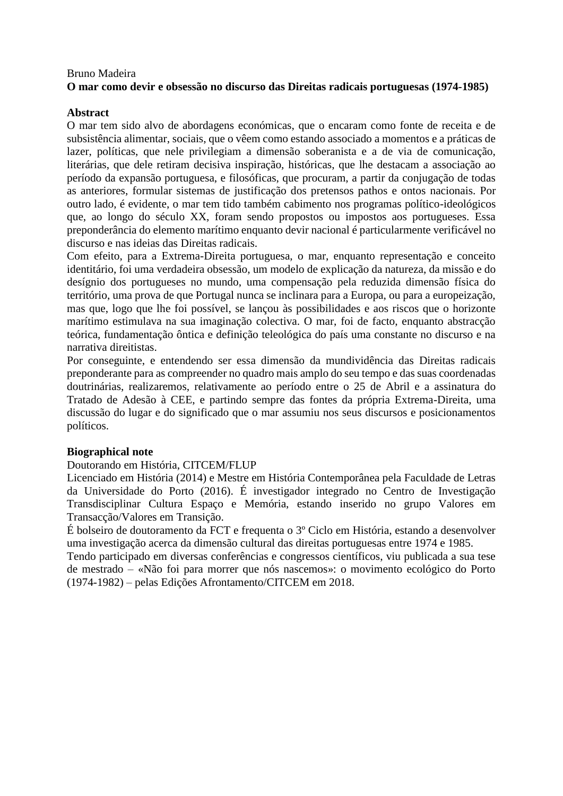#### Bruno Madeira **O mar como devir e obsessão no discurso das Direitas radicais portuguesas (1974-1985)**

#### **Abstract**

O mar tem sido alvo de abordagens económicas, que o encaram como fonte de receita e de subsistência alimentar, sociais, que o vêem como estando associado a momentos e a práticas de lazer, políticas, que nele privilegiam a dimensão soberanista e a de via de comunicação, literárias, que dele retiram decisiva inspiração, históricas, que lhe destacam a associação ao período da expansão portuguesa, e filosóficas, que procuram, a partir da conjugação de todas as anteriores, formular sistemas de justificação dos pretensos pathos e ontos nacionais. Por outro lado, é evidente, o mar tem tido também cabimento nos programas político-ideológicos que, ao longo do século XX, foram sendo propostos ou impostos aos portugueses. Essa preponderância do elemento marítimo enquanto devir nacional é particularmente verificável no discurso e nas ideias das Direitas radicais.

Com efeito, para a Extrema-Direita portuguesa, o mar, enquanto representação e conceito identitário, foi uma verdadeira obsessão, um modelo de explicação da natureza, da missão e do desígnio dos portugueses no mundo, uma compensação pela reduzida dimensão física do território, uma prova de que Portugal nunca se inclinara para a Europa, ou para a europeização, mas que, logo que lhe foi possível, se lançou às possibilidades e aos riscos que o horizonte marítimo estimulava na sua imaginação colectiva. O mar, foi de facto, enquanto abstracção teórica, fundamentação ôntica e definição teleológica do país uma constante no discurso e na narrativa direitistas.

Por conseguinte, e entendendo ser essa dimensão da mundividência das Direitas radicais preponderante para as compreender no quadro mais amplo do seu tempo e das suas coordenadas doutrinárias, realizaremos, relativamente ao período entre o 25 de Abril e a assinatura do Tratado de Adesão à CEE, e partindo sempre das fontes da própria Extrema-Direita, uma discussão do lugar e do significado que o mar assumiu nos seus discursos e posicionamentos políticos.

# **Biographical note**

#### Doutorando em História, CITCEM/FLUP

Licenciado em História (2014) e Mestre em História Contemporânea pela Faculdade de Letras da Universidade do Porto (2016). É investigador integrado no Centro de Investigação Transdisciplinar Cultura Espaço e Memória, estando inserido no grupo Valores em Transacção/Valores em Transição.

É bolseiro de doutoramento da FCT e frequenta o 3º Ciclo em História, estando a desenvolver uma investigação acerca da dimensão cultural das direitas portuguesas entre 1974 e 1985.

Tendo participado em diversas conferências e congressos científicos, viu publicada a sua tese de mestrado – «Não foi para morrer que nós nascemos»: o movimento ecológico do Porto (1974-1982) – pelas Edições Afrontamento/CITCEM em 2018.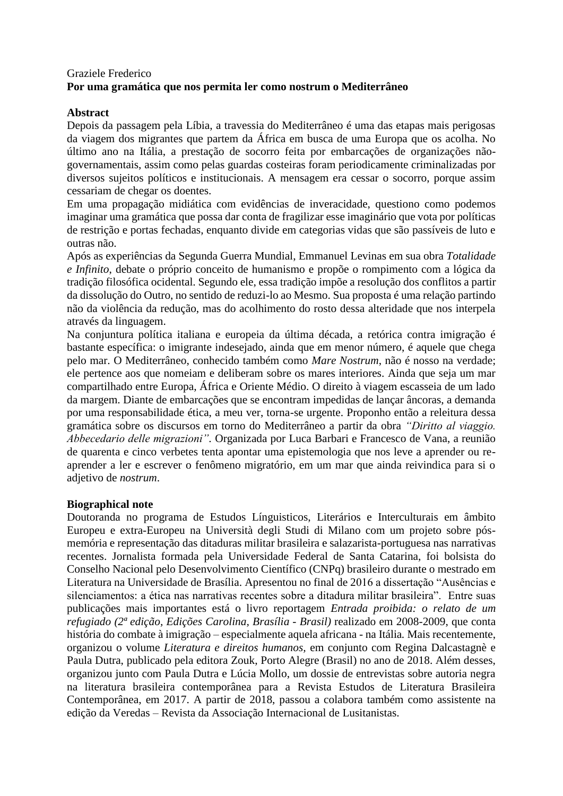# Graziele Frederico **Por uma gramática que nos permita ler como nostrum o Mediterrâneo**

# **Abstract**

Depois da passagem pela Líbia, a travessia do Mediterrâneo é uma das etapas mais perigosas da viagem dos migrantes que partem da África em busca de uma Europa que os acolha. No último ano na Itália, a prestação de socorro feita por embarcações de organizações nãogovernamentais, assim como pelas guardas costeiras foram periodicamente criminalizadas por diversos sujeitos políticos e institucionais. A mensagem era cessar o socorro, porque assim cessariam de chegar os doentes.

Em uma propagação midiática com evidências de inveracidade, questiono como podemos imaginar uma gramática que possa dar conta de fragilizar esse imaginário que vota por políticas de restrição e portas fechadas, enquanto divide em categorias vidas que são passíveis de luto e outras não.

Após as experiências da Segunda Guerra Mundial, Emmanuel Levinas em sua obra *Totalidade e Infinito*, debate o próprio conceito de humanismo e propõe o rompimento com a lógica da tradição filosófica ocidental. Segundo ele, essa tradição impõe a resolução dos conflitos a partir da dissolução do Outro, no sentido de reduzi-lo ao Mesmo. Sua proposta é uma relação partindo não da violência da redução, mas do acolhimento do rosto dessa alteridade que nos interpela através da linguagem.

Na conjuntura política italiana e europeia da última década, a retórica contra imigração é bastante específica: o imigrante indesejado, ainda que em menor número, é aquele que chega pelo mar. O Mediterrâneo, conhecido também como *Mare Nostrum*, não é nosso na verdade; ele pertence aos que nomeiam e deliberam sobre os mares interiores. Ainda que seja um mar compartilhado entre Europa, África e Oriente Médio. O direito à viagem escasseia de um lado da margem. Diante de embarcações que se encontram impedidas de lançar âncoras, a demanda por uma responsabilidade ética, a meu ver, torna-se urgente. Proponho então a releitura dessa gramática sobre os discursos em torno do Mediterrâneo a partir da obra *"Diritto al viaggio. Abbecedario delle migrazioni".* Organizada por Luca Barbari e Francesco de Vana, a reunião de quarenta e cinco verbetes tenta apontar uma epistemologia que nos leve a aprender ou reaprender a ler e escrever o fenômeno migratório, em um mar que ainda reivindica para si o adjetivo de *nostrum*.

#### **Biographical note**

Doutoranda no programa de Estudos Línguisticos, Literários e Interculturais em âmbito Europeu e extra-Europeu na Università degli Studi di Milano com um projeto sobre pósmemória e representação das ditaduras militar brasileira e salazarista-portuguesa nas narrativas recentes. Jornalista formada pela Universidade Federal de Santa Catarina, foi bolsista do Conselho Nacional pelo Desenvolvimento Científico (CNPq) brasileiro durante o mestrado em Literatura na Universidade de Brasília. Apresentou no final de 2016 a dissertação "Ausências e silenciamentos: a ética nas narrativas recentes sobre a ditadura militar brasileira". Entre suas publicações mais importantes está o livro reportagem *Entrada proibida: o relato de um refugiado (2ª edição, Edições Carolina, Brasília - Brasil)* realizado em 2008-2009, que conta história do combate à imigração – especialmente aquela africana - na Itália*.* Mais recentemente, organizou o volume *Literatura e direitos humanos,* em conjunto com Regina Dalcastagnè e Paula Dutra, publicado pela editora Zouk, Porto Alegre (Brasil) no ano de 2018. Além desses, organizou junto com Paula Dutra e Lúcia Mollo, um dossie de entrevistas sobre autoria negra na literatura brasileira contemporânea para a Revista Estudos de Literatura Brasileira Contemporânea, em 2017. A partir de 2018, passou a colabora também como assistente na edição da Veredas – Revista da Associação Internacional de Lusitanistas.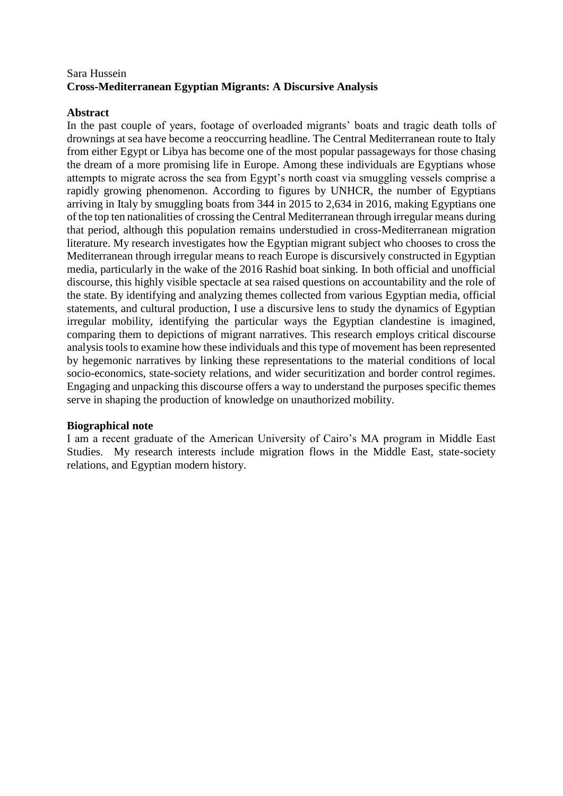# Sara Hussein **Cross-Mediterranean Egyptian Migrants: A Discursive Analysis**

#### **Abstract**

In the past couple of years, footage of overloaded migrants' boats and tragic death tolls of drownings at sea have become a reoccurring headline. The Central Mediterranean route to Italy from either Egypt or Libya has become one of the most popular passageways for those chasing the dream of a more promising life in Europe. Among these individuals are Egyptians whose attempts to migrate across the sea from Egypt's north coast via smuggling vessels comprise a rapidly growing phenomenon. According to figures by UNHCR, the number of Egyptians arriving in Italy by smuggling boats from 344 in 2015 to 2,634 in 2016, making Egyptians one of the top ten nationalities of crossing the Central Mediterranean through irregular means during that period, although this population remains understudied in cross-Mediterranean migration literature. My research investigates how the Egyptian migrant subject who chooses to cross the Mediterranean through irregular means to reach Europe is discursively constructed in Egyptian media, particularly in the wake of the 2016 Rashid boat sinking. In both official and unofficial discourse, this highly visible spectacle at sea raised questions on accountability and the role of the state. By identifying and analyzing themes collected from various Egyptian media, official statements, and cultural production, I use a discursive lens to study the dynamics of Egyptian irregular mobility, identifying the particular ways the Egyptian clandestine is imagined, comparing them to depictions of migrant narratives. This research employs critical discourse analysis tools to examine how these individuals and this type of movement has been represented by hegemonic narratives by linking these representations to the material conditions of local socio-economics, state-society relations, and wider securitization and border control regimes. Engaging and unpacking this discourse offers a way to understand the purposes specific themes serve in shaping the production of knowledge on unauthorized mobility.

#### **Biographical note**

I am a recent graduate of the American University of Cairo's MA program in Middle East Studies. My research interests include migration flows in the Middle East, state-society relations, and Egyptian modern history.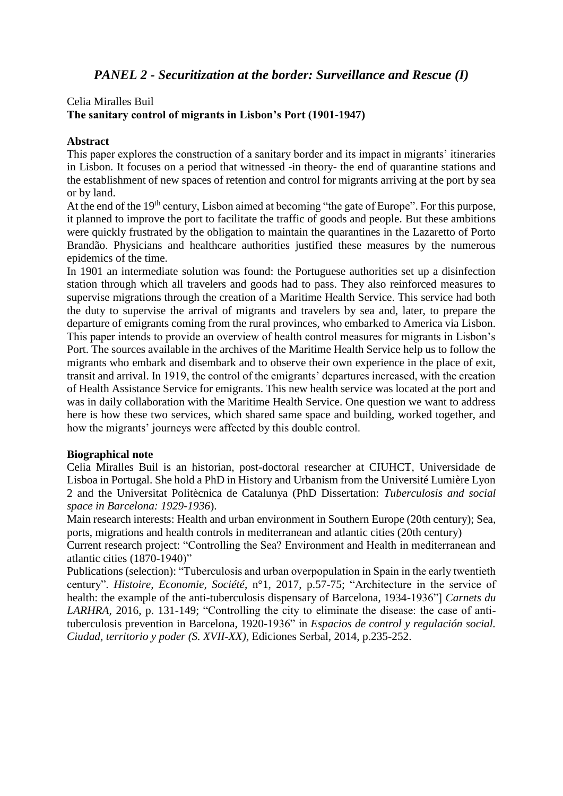# *PANEL 2 - Securitization at the border: Surveillance and Rescue (I)*

# Celia Miralles Buil **The sanitary control of migrants in Lisbon's Port (1901-1947)**

#### **Abstract**

This paper explores the construction of a sanitary border and its impact in migrants' itineraries in Lisbon. It focuses on a period that witnessed -in theory- the end of quarantine stations and the establishment of new spaces of retention and control for migrants arriving at the port by sea or by land.

At the end of the 19<sup>th</sup> century, Lisbon aimed at becoming "the gate of Europe". For this purpose, it planned to improve the port to facilitate the traffic of goods and people. But these ambitions were quickly frustrated by the obligation to maintain the quarantines in the Lazaretto of Porto Brandão. Physicians and healthcare authorities justified these measures by the numerous epidemics of the time.

In 1901 an intermediate solution was found: the Portuguese authorities set up a disinfection station through which all travelers and goods had to pass. They also reinforced measures to supervise migrations through the creation of a Maritime Health Service. This service had both the duty to supervise the arrival of migrants and travelers by sea and, later, to prepare the departure of emigrants coming from the rural provinces, who embarked to America via Lisbon. This paper intends to provide an overview of health control measures for migrants in Lisbon's Port. The sources available in the archives of the Maritime Health Service help us to follow the migrants who embark and disembark and to observe their own experience in the place of exit, transit and arrival. In 1919, the control of the emigrants' departures increased, with the creation of Health Assistance Service for emigrants. This new health service was located at the port and was in daily collaboration with the Maritime Health Service. One question we want to address here is how these two services, which shared same space and building, worked together, and how the migrants' journeys were affected by this double control.

#### **Biographical note**

Celia Miralles Buil is an historian, post-doctoral researcher at CIUHCT, Universidade de Lisboa in Portugal. She hold a PhD in History and Urbanism from the Université Lumière Lyon 2 and the Universitat Politècnica de Catalunya (PhD Dissertation: *Tuberculosis and social space in Barcelona: 1929-1936*).

Main research interests: Health and urban environment in Southern Europe (20th century); Sea, ports, migrations and health controls in mediterranean and atlantic cities (20th century)

Current research project: "Controlling the Sea? Environment and Health in mediterranean and atlantic cities (1870-1940)"

Publications (selection): "Tuberculosis and urban overpopulation in Spain in the early twentieth century". *Histoire, Economie, Société*, n°1, 2017, p.57-75; "Architecture in the service of health: the example of the anti-tuberculosis dispensary of Barcelona, 1934-1936"] *Carnets du LARHRA,* 2016, p. 131-149; "Controlling the city to eliminate the disease: the case of antituberculosis prevention in Barcelona, 1920-1936" in *Espacios de control y regulación social. Ciudad, territorio y poder (S. XVII-XX),* Ediciones Serbal, 2014, p.235-252.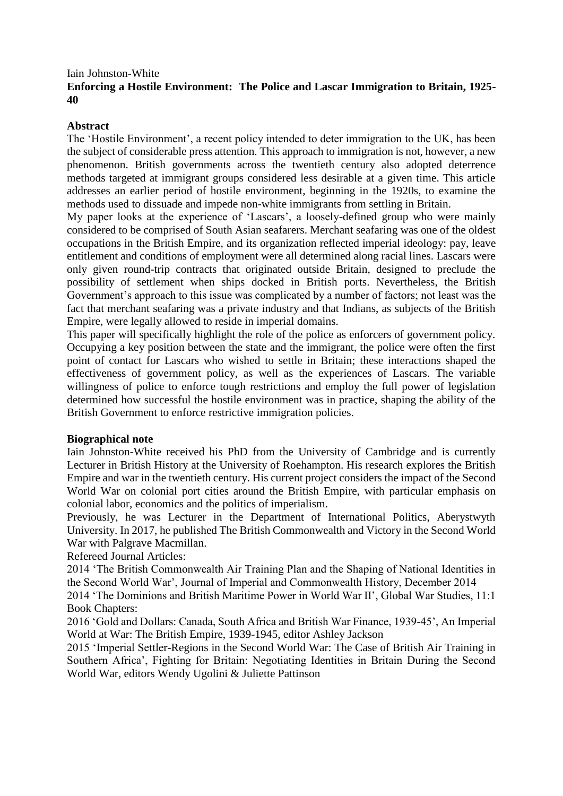#### Iain Johnston-White **Enforcing a Hostile Environment: The Police and Lascar Immigration to Britain, 1925- 40**

#### **Abstract**

The 'Hostile Environment', a recent policy intended to deter immigration to the UK, has been the subject of considerable press attention. This approach to immigration is not, however, a new phenomenon. British governments across the twentieth century also adopted deterrence methods targeted at immigrant groups considered less desirable at a given time. This article addresses an earlier period of hostile environment, beginning in the 1920s, to examine the methods used to dissuade and impede non-white immigrants from settling in Britain.

My paper looks at the experience of 'Lascars', a loosely-defined group who were mainly considered to be comprised of South Asian seafarers. Merchant seafaring was one of the oldest occupations in the British Empire, and its organization reflected imperial ideology: pay, leave entitlement and conditions of employment were all determined along racial lines. Lascars were only given round-trip contracts that originated outside Britain, designed to preclude the possibility of settlement when ships docked in British ports. Nevertheless, the British Government's approach to this issue was complicated by a number of factors; not least was the fact that merchant seafaring was a private industry and that Indians, as subjects of the British Empire, were legally allowed to reside in imperial domains.

This paper will specifically highlight the role of the police as enforcers of government policy. Occupying a key position between the state and the immigrant, the police were often the first point of contact for Lascars who wished to settle in Britain; these interactions shaped the effectiveness of government policy, as well as the experiences of Lascars. The variable willingness of police to enforce tough restrictions and employ the full power of legislation determined how successful the hostile environment was in practice, shaping the ability of the British Government to enforce restrictive immigration policies.

#### **Biographical note**

Iain Johnston-White received his PhD from the University of Cambridge and is currently Lecturer in British History at the University of Roehampton. His research explores the British Empire and war in the twentieth century. His current project considers the impact of the Second World War on colonial port cities around the British Empire, with particular emphasis on colonial labor, economics and the politics of imperialism.

Previously, he was Lecturer in the Department of International Politics, Aberystwyth University. In 2017, he published The British Commonwealth and Victory in the Second World War with Palgrave Macmillan.

Refereed Journal Articles:

2014 'The British Commonwealth Air Training Plan and the Shaping of National Identities in the Second World War', Journal of Imperial and Commonwealth History, December 2014

2014 'The Dominions and British Maritime Power in World War II', Global War Studies, 11:1 Book Chapters:

2016 'Gold and Dollars: Canada, South Africa and British War Finance, 1939-45', An Imperial World at War: The British Empire, 1939-1945, editor Ashley Jackson

2015 'Imperial Settler-Regions in the Second World War: The Case of British Air Training in Southern Africa', Fighting for Britain: Negotiating Identities in Britain During the Second World War, editors Wendy Ugolini & Juliette Pattinson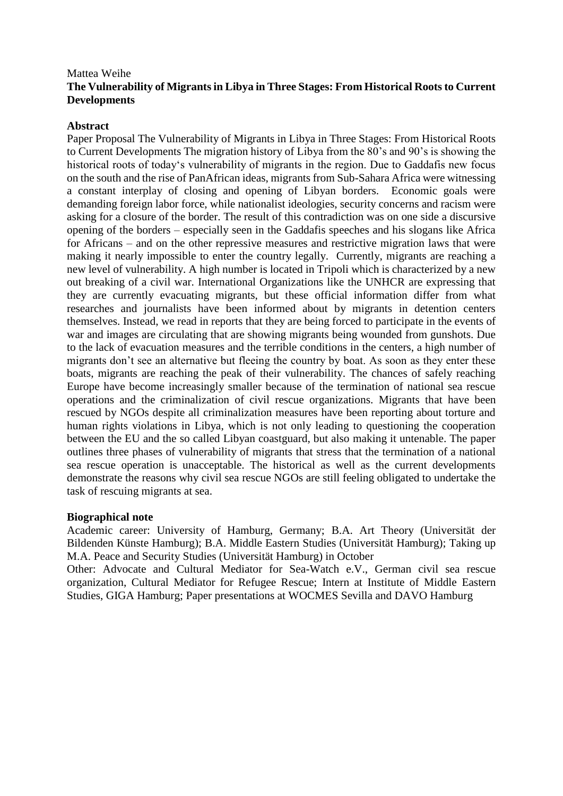# Mattea Weihe **The Vulnerability of Migrants in Libya in Three Stages: From Historical Roots to Current Developments**

#### **Abstract**

Paper Proposal The Vulnerability of Migrants in Libya in Three Stages: From Historical Roots to Current Developments The migration history of Libya from the 80's and 90's is showing the historical roots of today's vulnerability of migrants in the region. Due to Gaddafis new focus on the south and the rise of PanAfrican ideas, migrants from Sub-Sahara Africa were witnessing a constant interplay of closing and opening of Libyan borders. Economic goals were demanding foreign labor force, while nationalist ideologies, security concerns and racism were asking for a closure of the border. The result of this contradiction was on one side a discursive opening of the borders – especially seen in the Gaddafis speeches and his slogans like Africa for Africans – and on the other repressive measures and restrictive migration laws that were making it nearly impossible to enter the country legally. Currently, migrants are reaching a new level of vulnerability. A high number is located in Tripoli which is characterized by a new out breaking of a civil war. International Organizations like the UNHCR are expressing that they are currently evacuating migrants, but these official information differ from what researches and journalists have been informed about by migrants in detention centers themselves. Instead, we read in reports that they are being forced to participate in the events of war and images are circulating that are showing migrants being wounded from gunshots. Due to the lack of evacuation measures and the terrible conditions in the centers, a high number of migrants don't see an alternative but fleeing the country by boat. As soon as they enter these boats, migrants are reaching the peak of their vulnerability. The chances of safely reaching Europe have become increasingly smaller because of the termination of national sea rescue operations and the criminalization of civil rescue organizations. Migrants that have been rescued by NGOs despite all criminalization measures have been reporting about torture and human rights violations in Libya, which is not only leading to questioning the cooperation between the EU and the so called Libyan coastguard, but also making it untenable. The paper outlines three phases of vulnerability of migrants that stress that the termination of a national sea rescue operation is unacceptable. The historical as well as the current developments demonstrate the reasons why civil sea rescue NGOs are still feeling obligated to undertake the task of rescuing migrants at sea.

#### **Biographical note**

Academic career: University of Hamburg, Germany; B.A. Art Theory (Universität der Bildenden Künste Hamburg); B.A. Middle Eastern Studies (Universität Hamburg); Taking up M.A. Peace and Security Studies (Universität Hamburg) in October

Other: Advocate and Cultural Mediator for Sea-Watch e.V., German civil sea rescue organization, Cultural Mediator for Refugee Rescue; Intern at Institute of Middle Eastern Studies, GIGA Hamburg; Paper presentations at WOCMES Sevilla and DAVO Hamburg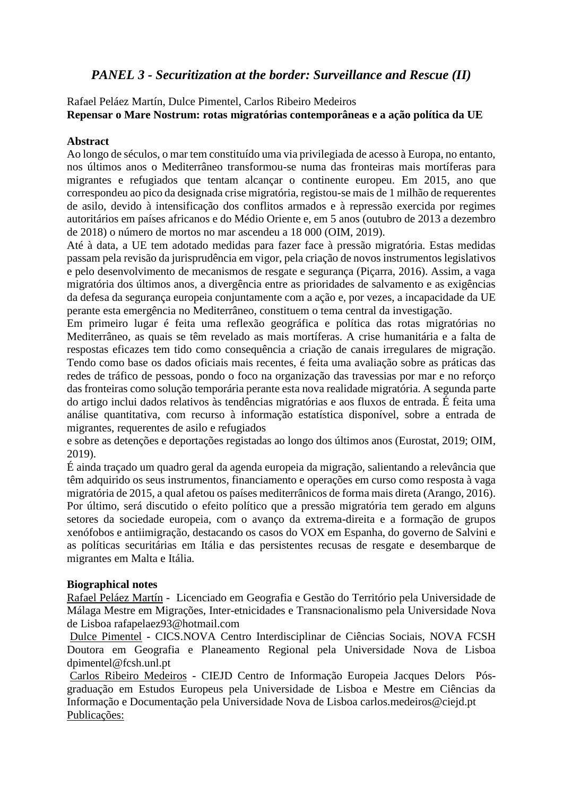# *PANEL 3 - Securitization at the border: Surveillance and Rescue (II)*

Rafael Peláez Martín, Dulce Pimentel, Carlos Ribeiro Medeiros **Repensar o Mare Nostrum: rotas migratórias contemporâneas e a ação política da UE**

#### **Abstract**

Ao longo de séculos, o mar tem constituído uma via privilegiada de acesso à Europa, no entanto, nos últimos anos o Mediterrâneo transformou-se numa das fronteiras mais mortíferas para migrantes e refugiados que tentam alcançar o continente europeu. Em 2015, ano que correspondeu ao pico da designada crise migratória, registou-se mais de 1 milhão de requerentes de asilo, devido à intensificação dos conflitos armados e à repressão exercida por regimes autoritários em países africanos e do Médio Oriente e, em 5 anos (outubro de 2013 a dezembro de 2018) o número de mortos no mar ascendeu a 18 000 (OIM, 2019).

Até à data, a UE tem adotado medidas para fazer face à pressão migratória. Estas medidas passam pela revisão da jurisprudência em vigor, pela criação de novos instrumentos legislativos e pelo desenvolvimento de mecanismos de resgate e segurança (Piçarra, 2016). Assim, a vaga migratória dos últimos anos, a divergência entre as prioridades de salvamento e as exigências da defesa da segurança europeia conjuntamente com a ação e, por vezes, a incapacidade da UE perante esta emergência no Mediterrâneo, constituem o tema central da investigação.

Em primeiro lugar é feita uma reflexão geográfica e política das rotas migratórias no Mediterrâneo, as quais se têm revelado as mais mortíferas. A crise humanitária e a falta de respostas eficazes tem tido como consequência a criação de canais irregulares de migração. Tendo como base os dados oficiais mais recentes, é feita uma avaliação sobre as práticas das redes de tráfico de pessoas, pondo o foco na organização das travessias por mar e no reforço das fronteiras como solução temporária perante esta nova realidade migratória. A segunda parte do artigo inclui dados relativos às tendências migratórias e aos fluxos de entrada. É feita uma análise quantitativa, com recurso à informação estatística disponível, sobre a entrada de migrantes, requerentes de asilo e refugiados

e sobre as detenções e deportações registadas ao longo dos últimos anos (Eurostat, 2019; OIM, 2019).

É ainda traçado um quadro geral da agenda europeia da migração, salientando a relevância que têm adquirido os seus instrumentos, financiamento e operações em curso como resposta à vaga migratória de 2015, a qual afetou os países mediterrânicos de forma mais direta (Arango, 2016). Por último, será discutido o efeito político que a pressão migratória tem gerado em alguns setores da sociedade europeia, com o avanço da extrema-direita e a formação de grupos xenófobos e antiimigração, destacando os casos do VOX em Espanha, do governo de Salvini e as políticas securitárias em Itália e das persistentes recusas de resgate e desembarque de migrantes em Malta e Itália.

# **Biographical notes**

Rafael Peláez Martín - Licenciado em Geografia e Gestão do Território pela Universidade de Málaga Mestre em Migrações, Inter-etnicidades e Transnacionalismo pela Universidade Nova de Lisboa rafapelaez93@hotmail.com

Dulce Pimentel - CICS.NOVA Centro Interdisciplinar de Ciências Sociais, NOVA FCSH Doutora em Geografia e Planeamento Regional pela Universidade Nova de Lisboa dpimentel@fcsh.unl.pt

Carlos Ribeiro Medeiros - CIEJD Centro de Informação Europeia Jacques Delors Pósgraduação em Estudos Europeus pela Universidade de Lisboa e Mestre em Ciências da Informação e Documentação pela Universidade Nova de Lisboa carlos.medeiros@ciejd.pt Publicações: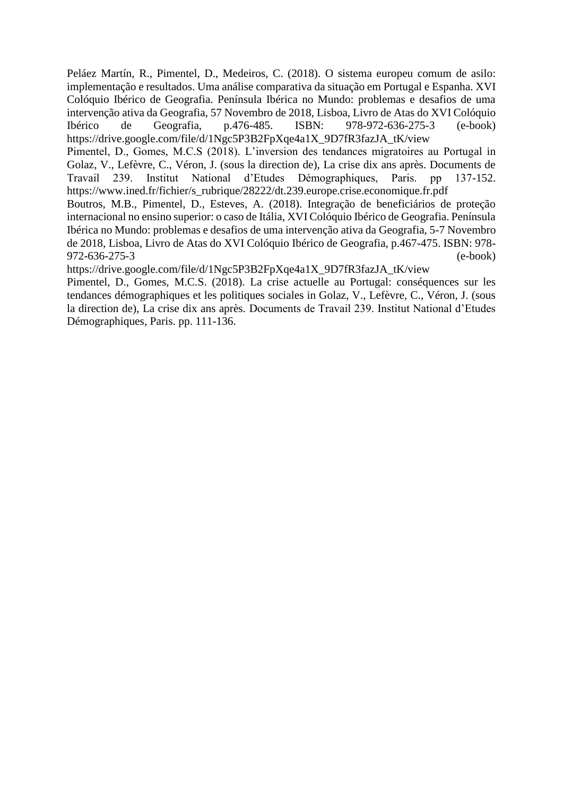Peláez Martín, R., Pimentel, D., Medeiros, C. (2018). O sistema europeu comum de asilo: implementação e resultados. Uma análise comparativa da situação em Portugal e Espanha. XVI Colóquio Ibérico de Geografia. Península Ibérica no Mundo: problemas e desafios de uma intervenção ativa da Geografia, 57 Novembro de 2018, Lisboa, Livro de Atas do XVI Colóquio Ibérico de Geografia, p.476-485. ISBN: 978-972-636-275-3 (e-book) https://drive.google.com/file/d/1Ngc5P3B2FpXqe4a1X\_9D7fR3fazJA\_tK/view

Pimentel, D., Gomes, M.C.S (2018). L'inversion des tendances migratoires au Portugal in Golaz, V., Lefèvre, C., Véron, J. (sous la direction de), La crise dix ans après. Documents de Travail 239. Institut National d'Etudes Démographiques, Paris. pp 137-152. https://www.ined.fr/fichier/s\_rubrique/28222/dt.239.europe.crise.economique.fr.pdf

Boutros, M.B., Pimentel, D., Esteves, A. (2018). Integração de beneficiários de proteção internacional no ensino superior: o caso de Itália, XVI Colóquio Ibérico de Geografia. Península Ibérica no Mundo: problemas e desafios de uma intervenção ativa da Geografia, 5-7 Novembro de 2018, Lisboa, Livro de Atas do XVI Colóquio Ibérico de Geografia, p.467-475. ISBN: 978- 972-636-275-3 (e-book)

https://drive.google.com/file/d/1Ngc5P3B2FpXqe4a1X\_9D7fR3fazJA\_tK/view

Pimentel, D., Gomes, M.C.S. (2018). La crise actuelle au Portugal: conséquences sur les tendances démographiques et les politiques sociales in Golaz, V., Lefèvre, C., Véron, J. (sous la direction de), La crise dix ans après. Documents de Travail 239. Institut National d'Etudes Démographiques, Paris. pp. 111-136.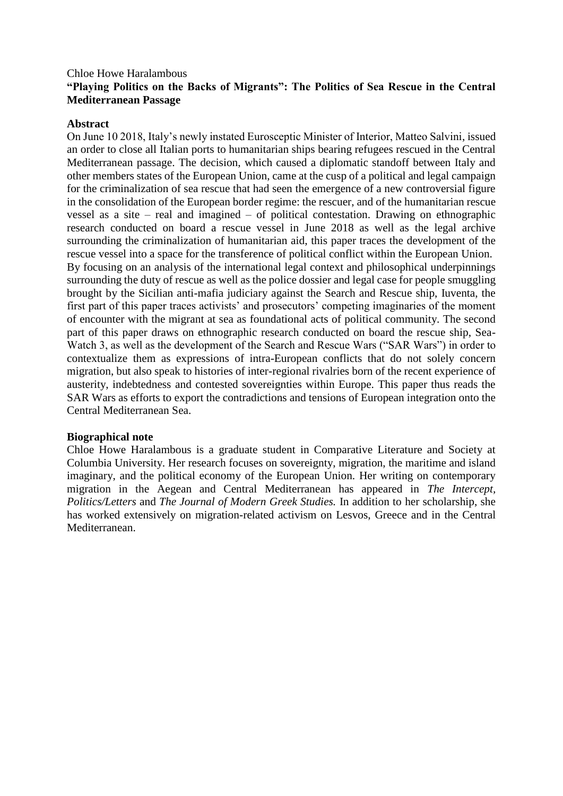# Chloe Howe Haralambous **"Playing Politics on the Backs of Migrants": The Politics of Sea Rescue in the Central Mediterranean Passage**

#### **Abstract**

On June 10 2018, Italy's newly instated Eurosceptic Minister of Interior, Matteo Salvini, issued an order to close all Italian ports to humanitarian ships bearing refugees rescued in the Central Mediterranean passage. The decision, which caused a diplomatic standoff between Italy and other members states of the European Union, came at the cusp of a political and legal campaign for the criminalization of sea rescue that had seen the emergence of a new controversial figure in the consolidation of the European border regime: the rescuer, and of the humanitarian rescue vessel as a site – real and imagined – of political contestation. Drawing on ethnographic research conducted on board a rescue vessel in June 2018 as well as the legal archive surrounding the criminalization of humanitarian aid, this paper traces the development of the rescue vessel into a space for the transference of political conflict within the European Union. By focusing on an analysis of the international legal context and philosophical underpinnings surrounding the duty of rescue as well as the police dossier and legal case for people smuggling brought by the Sicilian anti-mafia judiciary against the Search and Rescue ship, Iuventa, the first part of this paper traces activists' and prosecutors' competing imaginaries of the moment of encounter with the migrant at sea as foundational acts of political community. The second part of this paper draws on ethnographic research conducted on board the rescue ship, Sea-Watch 3, as well as the development of the Search and Rescue Wars ("SAR Wars") in order to contextualize them as expressions of intra-European conflicts that do not solely concern migration, but also speak to histories of inter-regional rivalries born of the recent experience of austerity, indebtedness and contested sovereignties within Europe. This paper thus reads the SAR Wars as efforts to export the contradictions and tensions of European integration onto the Central Mediterranean Sea.

#### **Biographical note**

Chloe Howe Haralambous is a graduate student in Comparative Literature and Society at Columbia University. Her research focuses on sovereignty, migration, the maritime and island imaginary, and the political economy of the European Union. Her writing on contemporary migration in the Aegean and Central Mediterranean has appeared in *The Intercept, Politics/Letters* and *The Journal of Modern Greek Studies.* In addition to her scholarship, she has worked extensively on migration-related activism on Lesvos, Greece and in the Central Mediterranean.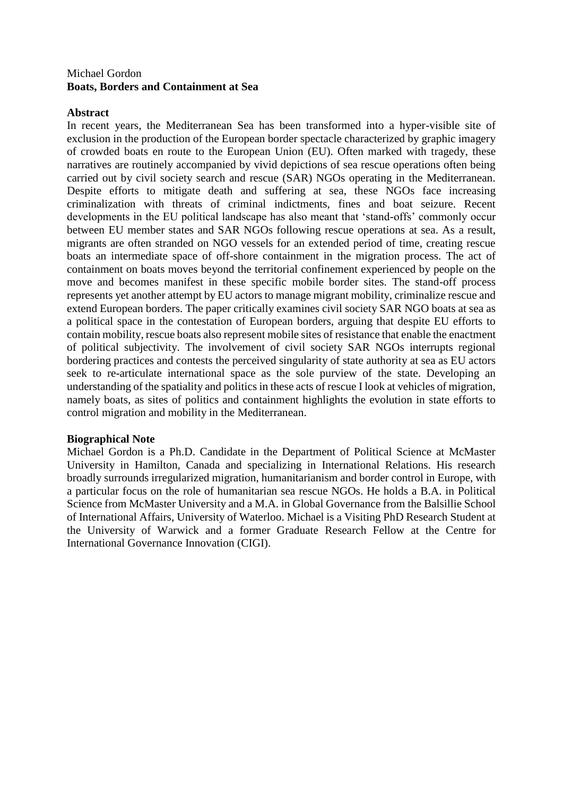# Michael Gordon **Boats, Borders and Containment at Sea**

# **Abstract**

In recent years, the Mediterranean Sea has been transformed into a hyper-visible site of exclusion in the production of the European border spectacle characterized by graphic imagery of crowded boats en route to the European Union (EU). Often marked with tragedy, these narratives are routinely accompanied by vivid depictions of sea rescue operations often being carried out by civil society search and rescue (SAR) NGOs operating in the Mediterranean. Despite efforts to mitigate death and suffering at sea, these NGOs face increasing criminalization with threats of criminal indictments, fines and boat seizure. Recent developments in the EU political landscape has also meant that 'stand-offs' commonly occur between EU member states and SAR NGOs following rescue operations at sea. As a result, migrants are often stranded on NGO vessels for an extended period of time, creating rescue boats an intermediate space of off-shore containment in the migration process. The act of containment on boats moves beyond the territorial confinement experienced by people on the move and becomes manifest in these specific mobile border sites. The stand-off process represents yet another attempt by EU actors to manage migrant mobility, criminalize rescue and extend European borders. The paper critically examines civil society SAR NGO boats at sea as a political space in the contestation of European borders, arguing that despite EU efforts to contain mobility, rescue boats also represent mobile sites of resistance that enable the enactment of political subjectivity. The involvement of civil society SAR NGOs interrupts regional bordering practices and contests the perceived singularity of state authority at sea as EU actors seek to re-articulate international space as the sole purview of the state. Developing an understanding of the spatiality and politics in these acts of rescue I look at vehicles of migration, namely boats, as sites of politics and containment highlights the evolution in state efforts to control migration and mobility in the Mediterranean.

#### **Biographical Note**

Michael Gordon is a Ph.D. Candidate in the Department of Political Science at McMaster University in Hamilton, Canada and specializing in International Relations. His research broadly surrounds irregularized migration, humanitarianism and border control in Europe, with a particular focus on the role of humanitarian sea rescue NGOs. He holds a B.A. in Political Science from McMaster University and a M.A. in Global Governance from the Balsillie School of International Affairs, University of Waterloo. Michael is a Visiting PhD Research Student at the University of Warwick and a former Graduate Research Fellow at the Centre for International Governance Innovation (CIGI).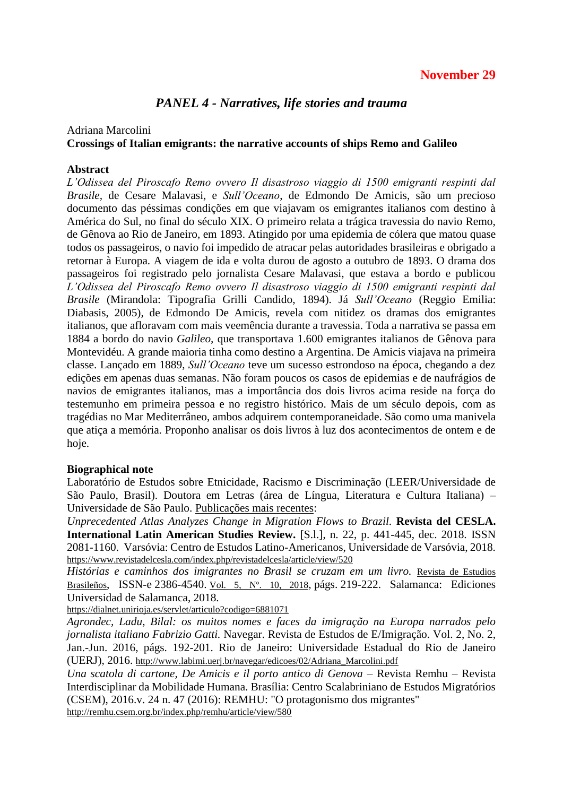# **November 29**

# *PANEL 4 - Narratives, life stories and trauma*

#### Adriana Marcolini **Crossings of Italian emigrants: the narrative accounts of ships Remo and Galileo**

#### **Abstract**

*L'Odissea del Piroscafo Remo ovvero Il disastroso viaggio di 1500 emigranti respinti dal Brasile,* de Cesare Malavasi, e *Sull'Oceano*, de Edmondo De Amicis, são um precioso documento das péssimas condições em que viajavam os emigrantes italianos com destino à América do Sul, no final do século XIX. O primeiro relata a trágica travessia do navio Remo, de Gênova ao Rio de Janeiro, em 1893. Atingido por uma epidemia de cólera que matou quase todos os passageiros, o navio foi impedido de atracar pelas autoridades brasileiras e obrigado a retornar à Europa. A viagem de ida e volta durou de agosto a outubro de 1893. O drama dos passageiros foi registrado pelo jornalista Cesare Malavasi, que estava a bordo e publicou *L'Odissea del Piroscafo Remo ovvero Il disastroso viaggio di 1500 emigranti respinti dal Brasile* (Mirandola: Tipografia Grilli Candido, 1894). Já *Sull'Oceano* (Reggio Emilia: Diabasis, 2005)*,* de Edmondo De Amicis, revela com nitidez os dramas dos emigrantes italianos, que afloravam com mais veemência durante a travessia. Toda a narrativa se passa em 1884 a bordo do navio *Galileo,* que transportava 1.600 emigrantes italianos de Gênova para Montevidéu. A grande maioria tinha como destino a Argentina. De Amicis viajava na primeira classe. Lançado em 1889, *Sull'Oceano* teve um sucesso estrondoso na época, chegando a dez edições em apenas duas semanas. Não foram poucos os casos de epidemias e de naufrágios de navios de emigrantes italianos, mas a importância dos dois livros acima reside na força do testemunho em primeira pessoa e no registro histórico. Mais de um século depois, com as tragédias no Mar Mediterrâneo, ambos adquirem contemporaneidade. São como uma manivela que atiça a memória. Proponho analisar os dois livros à luz dos acontecimentos de ontem e de hoje.

#### **Biographical note**

Laboratório de Estudos sobre Etnicidade, Racismo e Discriminação (LEER/Universidade de São Paulo, Brasil). Doutora em Letras (área de Língua, Literatura e Cultura Italiana) – Universidade de São Paulo. Publicações mais recentes:

*Unprecedented Atlas Analyzes Change in Migration Flows to Brazil.* **Revista del CESLA. International Latin American Studies Review.** [S.l.], n. 22, p. 441-445, dec. 2018. ISSN 2081-1160. Varsóvia: Centro de Estudos Latino-Americanos, Universidade de Varsóvia, 2018. <https://www.revistadelcesla.com/index.php/revistadelcesla/article/view/520>

Histórias e caminhos dos imigrantes no Brasil se cruzam em um livro. Revista de [Estudios](https://dialnet.unirioja.es/servlet/revista?codigo=23128) [Brasileños](https://dialnet.unirioja.es/servlet/revista?codigo=23128), ISSN-e 2386-4540. Vol. 5, Nº. 10, [2018](https://dialnet.unirioja.es/ejemplar/514605), págs. 219-222. Salamanca: Ediciones Universidad de Salamanca, 2018.

<https://dialnet.unirioja.es/servlet/articulo?codigo=6881071>

*Agrondec, Ladu, Bilal: os muitos nomes e faces da imigração na Europa narrados pelo jornalista italiano Fabrizio Gatti.* Navegar. Revista de Estudos de E/Imigração. Vol. 2, No. 2, Jan.-Jun. 2016, págs. 192-201. Rio de Janeiro: Universidade Estadual do Rio de Janeiro (UERJ), 2016. [http://www.labimi.uerj.br/navegar/edicoes/02/Adriana\\_Marcolini.pdf](http://www.labimi.uerj.br/navegar/edicoes/02/Adriana_Marcolini.pdf)

*Una scatola di cartone, De Amicis e il porto antico di Genova* – Revista Remhu – Revista Interdisciplinar da Mobilidade Humana. Brasília: Centro Scalabriniano de Estudos Migratórios (CSEM), 2016[.v. 24 n. 47 \(2016\): REMHU: "O protagonismo dos migrantes"](http://remhu.csem.org.br/index.php/remhu/issue/view/27)

<http://remhu.csem.org.br/index.php/remhu/article/view/580>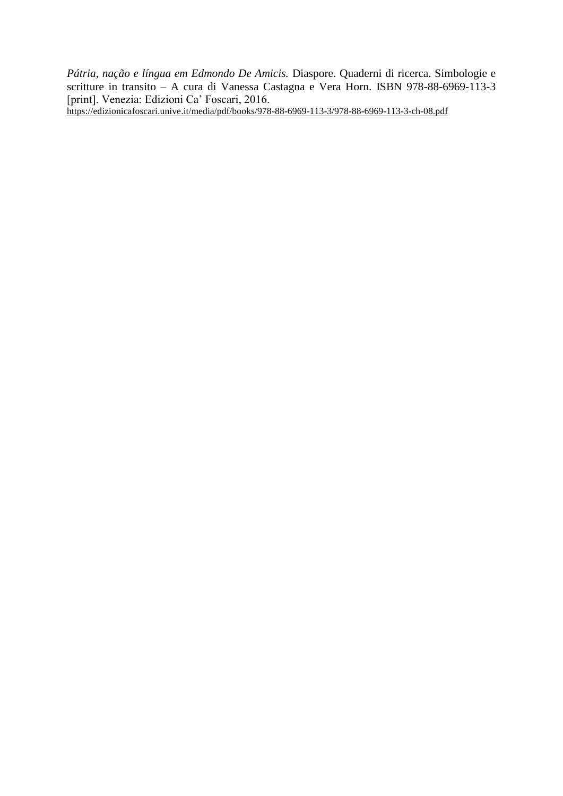*Pátria, nação e língua em Edmondo De Amicis.* Diaspore. Quaderni di ricerca. Simbologie e scritture in transito – A cura di Vanessa Castagna e Vera Horn. ISBN 978-88-6969-113-3 [print]. Venezia: Edizioni Ca' Foscari, 2016.

<https://edizionicafoscari.unive.it/media/pdf/books/978-88-6969-113-3/978-88-6969-113-3-ch-08.pdf>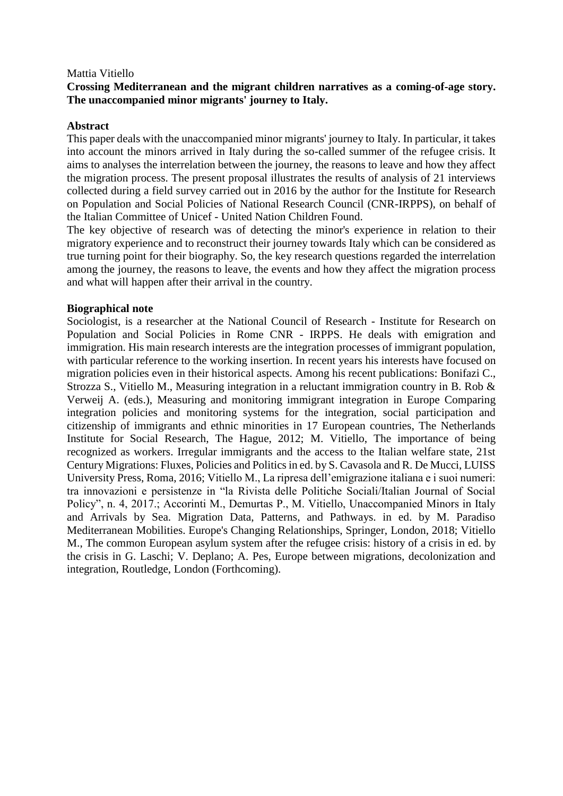#### Mattia Vitiello

#### **Crossing Mediterranean and the migrant children narratives as a coming-of-age story. The unaccompanied minor migrants' journey to Italy.**

#### **Abstract**

This paper deals with the unaccompanied minor migrants' journey to Italy. In particular, it takes into account the minors arrived in Italy during the so-called summer of the refugee crisis. It aims to analyses the interrelation between the journey, the reasons to leave and how they affect the migration process. The present proposal illustrates the results of analysis of 21 interviews collected during a field survey carried out in 2016 by the author for the Institute for Research on Population and Social Policies of National Research Council (CNR-IRPPS), on behalf of the Italian Committee of Unicef - United Nation Children Found.

The key objective of research was of detecting the minor's experience in relation to their migratory experience and to reconstruct their journey towards Italy which can be considered as true turning point for their biography. So, the key research questions regarded the interrelation among the journey, the reasons to leave, the events and how they affect the migration process and what will happen after their arrival in the country.

#### **Biographical note**

Sociologist, is a researcher at the National Council of Research - Institute for Research on Population and Social Policies in Rome CNR - IRPPS. He deals with emigration and immigration. His main research interests are the integration processes of immigrant population, with particular reference to the working insertion. In recent years his interests have focused on migration policies even in their historical aspects. Among his recent publications: Bonifazi C., Strozza S., Vitiello M., Measuring integration in a reluctant immigration country in B. Rob & Verweij A. (eds.), Measuring and monitoring immigrant integration in Europe Comparing integration policies and monitoring systems for the integration, social participation and citizenship of immigrants and ethnic minorities in 17 European countries, The Netherlands Institute for Social Research, The Hague, 2012; M. Vitiello, The importance of being recognized as workers. Irregular immigrants and the access to the Italian welfare state, 21st Century Migrations: Fluxes, Policies and Politics in ed. by S. Cavasola and R. De Mucci, LUISS University Press, Roma, 2016; Vitiello M., La ripresa dell'emigrazione italiana e i suoi numeri: tra innovazioni e persistenze in "la Rivista delle Politiche Sociali/Italian Journal of Social Policy", n. 4, 2017.; Accorinti M., Demurtas P., M. Vitiello, Unaccompanied Minors in Italy and Arrivals by Sea. Migration Data, Patterns, and Pathways. in ed. by M. Paradiso Mediterranean Mobilities. Europe's Changing Relationships, Springer, London, 2018; Vitiello M., The common European asylum system after the refugee crisis: history of a crisis in ed. by the crisis in G. Laschi; V. Deplano; A. Pes, Europe between migrations, decolonization and integration, Routledge, London (Forthcoming).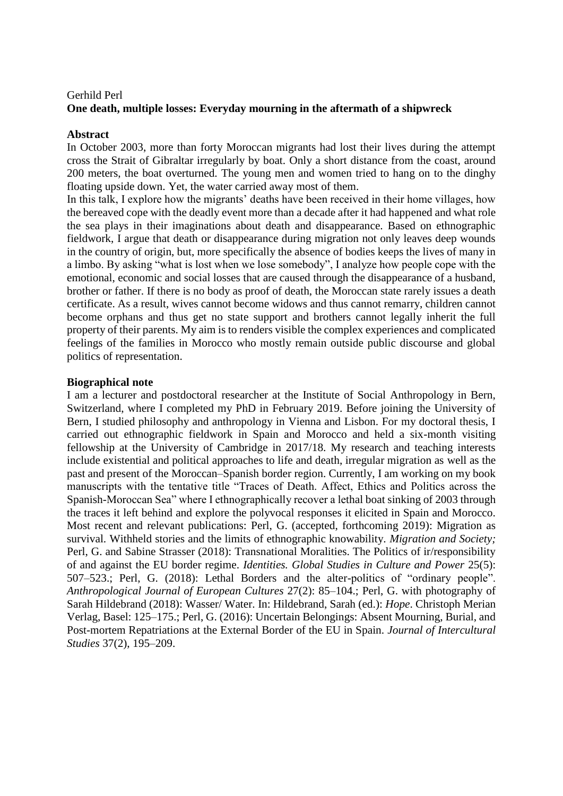# Gerhild Perl **One death, multiple losses: Everyday mourning in the aftermath of a shipwreck**

#### **Abstract**

In October 2003, more than forty Moroccan migrants had lost their lives during the attempt cross the Strait of Gibraltar irregularly by boat. Only a short distance from the coast, around 200 meters, the boat overturned. The young men and women tried to hang on to the dinghy floating upside down. Yet, the water carried away most of them.

In this talk, I explore how the migrants' deaths have been received in their home villages, how the bereaved cope with the deadly event more than a decade after it had happened and what role the sea plays in their imaginations about death and disappearance. Based on ethnographic fieldwork, I argue that death or disappearance during migration not only leaves deep wounds in the country of origin, but, more specifically the absence of bodies keeps the lives of many in a limbo. By asking "what is lost when we lose somebody", I analyze how people cope with the emotional, economic and social losses that are caused through the disappearance of a husband, brother or father. If there is no body as proof of death, the Moroccan state rarely issues a death certificate. As a result, wives cannot become widows and thus cannot remarry, children cannot become orphans and thus get no state support and brothers cannot legally inherit the full property of their parents. My aim is to renders visible the complex experiences and complicated feelings of the families in Morocco who mostly remain outside public discourse and global politics of representation.

#### **Biographical note**

I am a lecturer and postdoctoral researcher at the Institute of Social Anthropology in Bern, Switzerland, where I completed my PhD in February 2019. Before joining the University of Bern, I studied philosophy and anthropology in Vienna and Lisbon. For my doctoral thesis, I carried out ethnographic fieldwork in Spain and Morocco and held a six-month visiting fellowship at the University of Cambridge in 2017/18. My research and teaching interests include existential and political approaches to life and death, irregular migration as well as the past and present of the Moroccan–Spanish border region. Currently, I am working on my book manuscripts with the tentative title "Traces of Death. Affect, Ethics and Politics across the Spanish-Moroccan Sea" where I ethnographically recover a lethal boat sinking of 2003 through the traces it left behind and explore the polyvocal responses it elicited in Spain and Morocco. Most recent and relevant publications: Perl, G. (accepted, forthcoming 2019): Migration as survival. Withheld stories and the limits of ethnographic knowability. *Migration and Society;*  Perl, G. and Sabine Strasser (2018): Transnational Moralities. The Politics of ir/responsibility of and against the EU border regime. *Identities. Global Studies in Culture and Power* 25(5): 507–523.; Perl, G. (2018): Lethal Borders and the alter-politics of "ordinary people". *Anthropological Journal of European Cultures* 27(2): 85–104.; Perl, G. with photography of Sarah Hildebrand (2018): Wasser/ Water. In: Hildebrand, Sarah (ed.): *Hope*. Christoph Merian Verlag, Basel: 125–175.; Perl, G. (2016): Uncertain Belongings: Absent Mourning, Burial, and Post-mortem Repatriations at the External Border of the EU in Spain. *Journal of Intercultural Studies* 37(2), 195–209.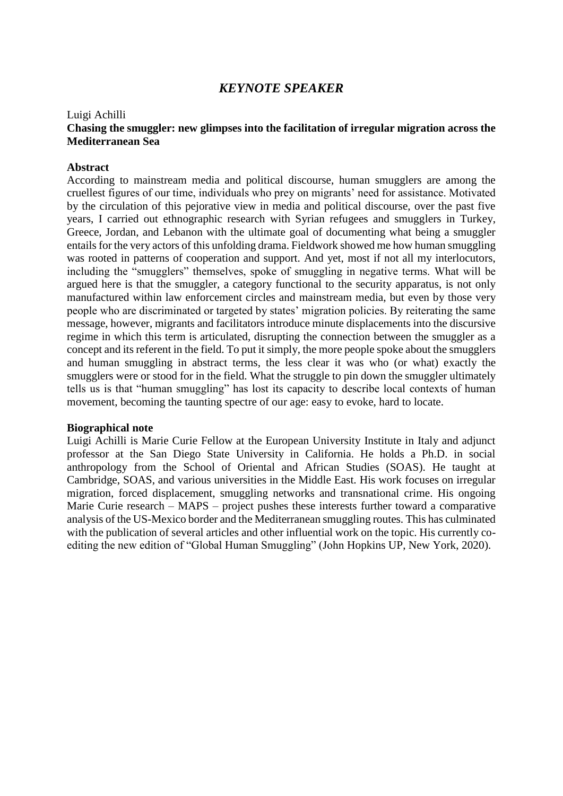# *KEYNOTE SPEAKER*

#### Luigi Achilli

#### **Chasing the smuggler: new glimpses into the facilitation of irregular migration across the Mediterranean Sea**

#### **Abstract**

According to mainstream media and political discourse, human smugglers are among the cruellest figures of our time, individuals who prey on migrants' need for assistance. Motivated by the circulation of this pejorative view in media and political discourse, over the past five years, I carried out ethnographic research with Syrian refugees and smugglers in Turkey, Greece, Jordan, and Lebanon with the ultimate goal of documenting what being a smuggler entails for the very actors of this unfolding drama. Fieldwork showed me how human smuggling was rooted in patterns of cooperation and support. And yet, most if not all my interlocutors, including the "smugglers" themselves, spoke of smuggling in negative terms. What will be argued here is that the smuggler, a category functional to the security apparatus, is not only manufactured within law enforcement circles and mainstream media, but even by those very people who are discriminated or targeted by states' migration policies. By reiterating the same message, however, migrants and facilitators introduce minute displacements into the discursive regime in which this term is articulated, disrupting the connection between the smuggler as a concept and its referent in the field. To put it simply, the more people spoke about the smugglers and human smuggling in abstract terms, the less clear it was who (or what) exactly the smugglers were or stood for in the field. What the struggle to pin down the smuggler ultimately tells us is that "human smuggling" has lost its capacity to describe local contexts of human movement, becoming the taunting spectre of our age: easy to evoke, hard to locate.

#### **Biographical note**

Luigi Achilli is Marie Curie Fellow at the European University Institute in Italy and adjunct professor at the San Diego State University in California. He holds a Ph.D. in social anthropology from the School of Oriental and African Studies (SOAS). He taught at Cambridge, SOAS, and various universities in the Middle East. His work focuses on irregular migration, forced displacement, smuggling networks and transnational crime. His ongoing Marie Curie research – MAPS – project pushes these interests further toward a comparative analysis of the US-Mexico border and the Mediterranean smuggling routes. This has culminated with the publication of several articles and other influential work on the topic. His currently coediting the new edition of "Global Human Smuggling" (John Hopkins UP, New York, 2020).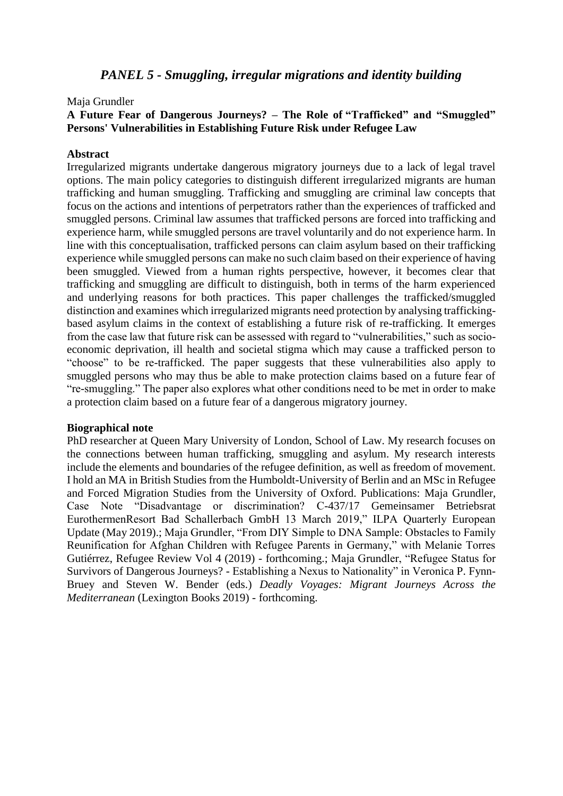# *PANEL 5 - Smuggling, irregular migrations and identity building*

#### Maja Grundler

#### **A Future Fear of Dangerous Journeys? – The Role of "Trafficked" and "Smuggled" Persons' Vulnerabilities in Establishing Future Risk under Refugee Law**

#### **Abstract**

Irregularized migrants undertake dangerous migratory journeys due to a lack of legal travel options. The main policy categories to distinguish different irregularized migrants are human trafficking and human smuggling. Trafficking and smuggling are criminal law concepts that focus on the actions and intentions of perpetrators rather than the experiences of trafficked and smuggled persons. Criminal law assumes that trafficked persons are forced into trafficking and experience harm, while smuggled persons are travel voluntarily and do not experience harm. In line with this conceptualisation, trafficked persons can claim asylum based on their trafficking experience while smuggled persons can make no such claim based on their experience of having been smuggled. Viewed from a human rights perspective, however, it becomes clear that trafficking and smuggling are difficult to distinguish, both in terms of the harm experienced and underlying reasons for both practices. This paper challenges the trafficked/smuggled distinction and examines which irregularized migrants need protection by analysing traffickingbased asylum claims in the context of establishing a future risk of re-trafficking. It emerges from the case law that future risk can be assessed with regard to "vulnerabilities," such as socioeconomic deprivation, ill health and societal stigma which may cause a trafficked person to "choose" to be re-trafficked. The paper suggests that these vulnerabilities also apply to smuggled persons who may thus be able to make protection claims based on a future fear of "re-smuggling." The paper also explores what other conditions need to be met in order to make a protection claim based on a future fear of a dangerous migratory journey.

#### **Biographical note**

PhD researcher at Queen Mary University of London, School of Law. My research focuses on the connections between human trafficking, smuggling and asylum. My research interests include the elements and boundaries of the refugee definition, as well as freedom of movement. I hold an MA in British Studies from the Humboldt-University of Berlin and an MSc in Refugee and Forced Migration Studies from the University of Oxford. Publications: Maja Grundler, Case Note "Disadvantage or discrimination? C-437/17 Gemeinsamer Betriebsrat EurothermenResort Bad Schallerbach GmbH 13 March 2019," ILPA Quarterly European Update (May 2019).; Maja Grundler, "From DIY Simple to DNA Sample: Obstacles to Family Reunification for Afghan Children with Refugee Parents in Germany," with Melanie Torres Gutiérrez, Refugee Review Vol 4 (2019) - forthcoming.; Maja Grundler, "Refugee Status for Survivors of Dangerous Journeys? - Establishing a Nexus to Nationality" in Veronica P. Fynn-Bruey and Steven W. Bender (eds.) *Deadly Voyages: Migrant Journeys Across the Mediterranean* (Lexington Books 2019) - forthcoming.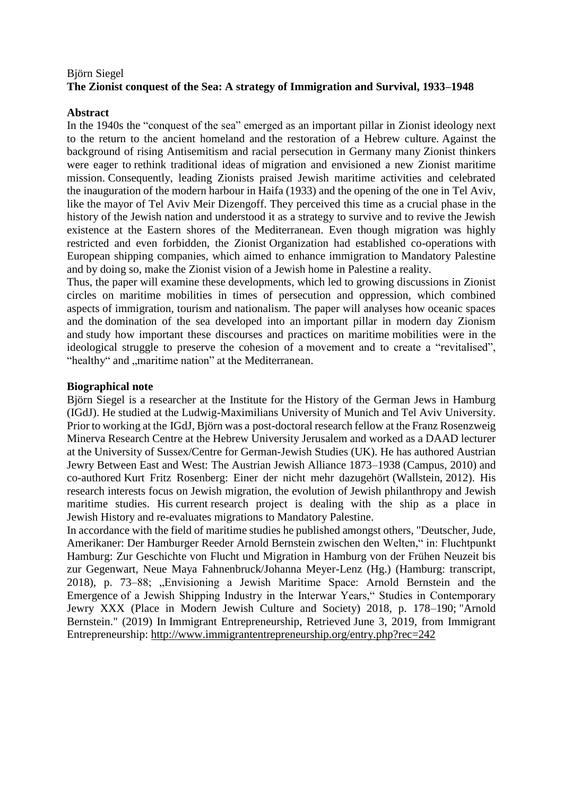# Björn Siegel **The Zionist conquest of the Sea: A strategy of Immigration and Survival, 1933–1948**

#### **Abstract**

In the 1940s the "conquest of the sea" emerged as an important pillar in Zionist ideology next to the return to the ancient homeland and the restoration of a Hebrew culture. Against the background of rising Antisemitism and racial persecution in Germany many Zionist thinkers were eager to rethink traditional ideas of migration and envisioned a new Zionist maritime mission. Consequently, leading Zionists praised Jewish maritime activities and celebrated the inauguration of the modern harbour in Haifa (1933) and the opening of the one in Tel Aviv, like the mayor of Tel Aviv Meir Dizengoff. They perceived this time as a crucial phase in the history of the Jewish nation and understood it as a strategy to survive and to revive the Jewish existence at the Eastern shores of the Mediterranean. Even though migration was highly restricted and even forbidden, the Zionist Organization had established co-operations with European shipping companies, which aimed to enhance immigration to Mandatory Palestine and by doing so, make the Zionist vision of a Jewish home in Palestine a reality.

Thus, the paper will examine these developments, which led to growing discussions in Zionist circles on maritime mobilities in times of persecution and oppression, which combined aspects of immigration, tourism and nationalism. The paper will analyses how oceanic spaces and the domination of the sea developed into an important pillar in modern day Zionism and study how important these discourses and practices on maritime mobilities were in the ideological struggle to preserve the cohesion of a movement and to create a "revitalised", "healthy" and "maritime nation" at the Mediterranean.

#### **Biographical note**

Björn Siegel is a researcher at the Institute for the History of the German Jews in Hamburg (IGdJ). He studied at the Ludwig-Maximilians University of Munich and Tel Aviv University. Prior to working at the IGdJ, Björn was a post-doctoral research fellow at the Franz Rosenzweig Minerva Research Centre at the Hebrew University Jerusalem and worked as a DAAD lecturer at the University of Sussex/Centre for German-Jewish Studies (UK). He has authored Austrian Jewry Between East and West: The Austrian Jewish Alliance 1873–1938 (Campus, 2010) and co-authored Kurt Fritz Rosenberg: Einer der nicht mehr dazugehört (Wallstein, 2012). His research interests focus on Jewish migration, the evolution of Jewish philanthropy and Jewish maritime studies. His current research project is dealing with the ship as a place in Jewish History and re-evaluates migrations to Mandatory Palestine.

In accordance with the field of maritime studies he published amongst others, "Deutscher, Jude, Amerikaner: Der Hamburger Reeder Arnold Bernstein zwischen den Welten," in: Fluchtpunkt Hamburg: Zur Geschichte von Flucht und Migration in Hamburg von der Frühen Neuzeit bis zur Gegenwart, Neue Maya Fahnenbruck/Johanna Meyer-Lenz (Hg.) (Hamburg: transcript, 2018), p. 73–88; "Envisioning a Jewish Maritime Space: Arnold Bernstein and the Emergence of a Jewish Shipping Industry in the Interwar Years," Studies in Contemporary Jewry XXX (Place in Modern Jewish Culture and Society) 2018, p. 178–190; "Arnold Bernstein." (2019) In Immigrant Entrepreneurship, Retrieved June 3, 2019, from Immigrant Entrepreneurship: <http://www.immigrantentrepreneurship.org/entry.php?rec=242>